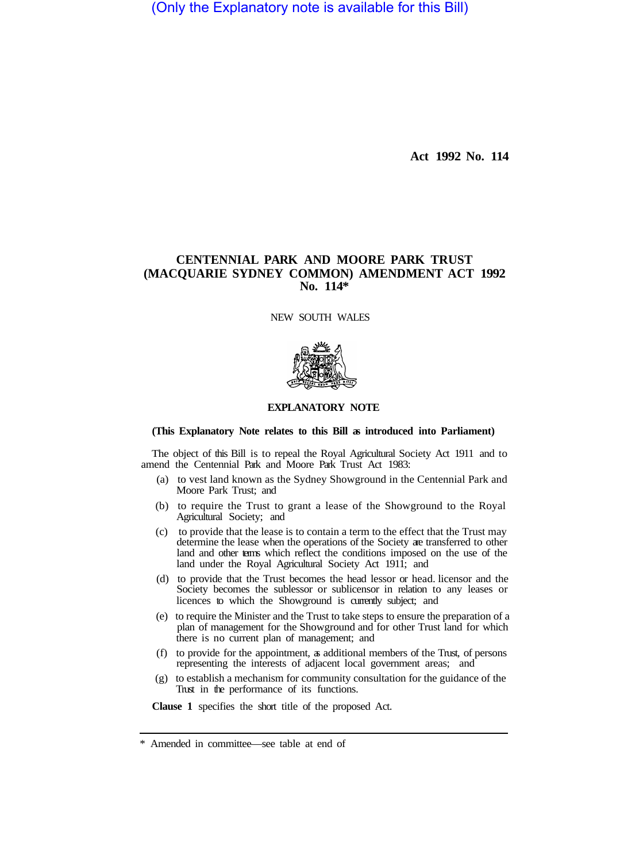(Only the Explanatory note is available for this Bill)

**Act 1992 No. 114** 

# **CENTENNIAL PARK AND MOORE PARK TRUST (MACQUARIE SYDNEY COMMON) AMENDMENT ACT 1992 No. 114\***

NEW SOUTH WALES



## **EXPLANATORY NOTE**

#### **(This Explanatory Note relates to this Bill as introduced into Parliament)**

The object of this Bill is to repeal the Royal Agricultural Society Act 1911 and to amend the Centennial Park and Moore Park Trust Act 1983:

- (a) to vest land known as the Sydney Showground in the Centennial Park and Moore Park Trust; and
- (b) to require the Trust to grant a lease of the Showground to the Royal Agricultural Society; and
- (c) to provide that the lease is to contain a term to the effect that the Trust may determine the lease when the operations of the Society are transferred to other land and other terms which reflect the conditions imposed on the use of the land under the Royal Agricultural Society Act 1911; and
- (d) to provide that the Trust becomes the head lessor or head. licensor and the Society becomes the sublessor or sublicensor in relation to any leases or licences to which the Showground is currently subject; and
- (e) to require the Minister and the Trust to take steps to ensure the preparation of a plan of management for the Showground and for other Trust land for which there is no current plan of management; and
- (f) to provide for the appointment, as additional members of the Trust, of persons representing the interests of adjacent local government areas; and
- (g) to establish a mechanism for community consultation for the guidance of the Trust in the performance of its functions.

**Clause 1** specifies the short title of the proposed Act.

<sup>\*</sup> Amended in committee—see table at end of